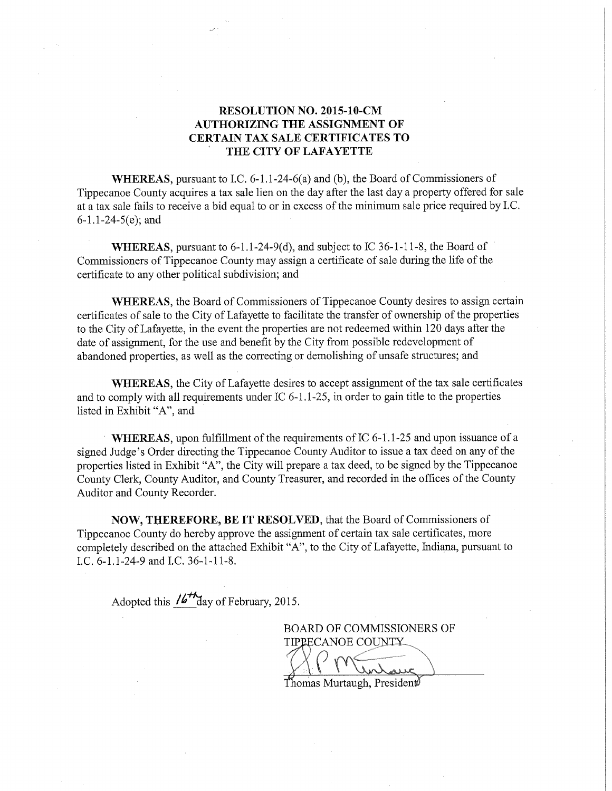## RESOLUTION NO. 2015-10-CM AUTHORIZING THE ASSIGNMENT OF CERTAIN TAX SALE CERTIFICATES TO THE CITY OF LAFAYETTE

WHEREAS, pursuant to I.C. 6-1.1-24-6(a) and (b), the Board of Commissioners of Tippecanoe County acquires <sup>a</sup> tax sale lien on the day after the last day <sup>a</sup> property offered for sale at a tax sale fails to receive a bid equal to or in excess of the minimum sale price required by I.C.  $6-1.1-24-5(e)$ ; and

WHEREAS, pursuant to  $6-1.1-24-9(d)$ , and subject to IC 36-1-11-8, the Board of Commissioners of Tippecanoe County may assign <sup>a</sup> certificate of sale during the life ofthe certificate to any other political subdivision; and

WHEREAS, the Board of Commissioners of Tippecanoe County desires to assign certain certificates of sale to the City of Lafayette to facilitate the transfer of ownership of the properties to the City of Lafayette, in the event the properties are not redeemed within <sup>120</sup> days after the date of assignment, for the use and benefit by the City from possible redevelopment of abandoned properties, as well as the correcting or demolishing of unsafe structures; and

WHEREAS, the City of Lafayette desires to accept assignment of the tax sale certificates and to comply with all requirements under IC  $6-1.1-25$ , in order to gain title to the properties listed in Exhibit "A", and

WHEREAS, upon fulfillment of the requirements of IC 6-1.1-25 and upon issuance of a signed Judge's Order directing the Tippecanoe County Auditor to issue <sup>a</sup> tax deed on any of the properties listed in Exhibit "A", the City will prepare <sup>a</sup> tax deed, to be signed by the Tippecanoe County Clerk, County Auditor, and County Treasurer, and recorded in the offices of the County Auditor and County Recorder.

NOW, THEREFORE, BE IT RESOLVED, that the Board of Commissioners of Tippecanoe County do hereby approve the assignment of certain tax sale certificates, more completely described on the attached Exhibit "A", to the City of Lafayette, Indiana, pursuant to LC. 6-1.1—24—9 and LC. 36—1—11—8.

Adopted this  $\frac{164}{4}$  day of February, 2015.

BOARD OF COMMISSIONERS OF TIPPECANOE COUNTY \_\_\_\_\_

 $T$ homas Murtaugh, President $\emptyset$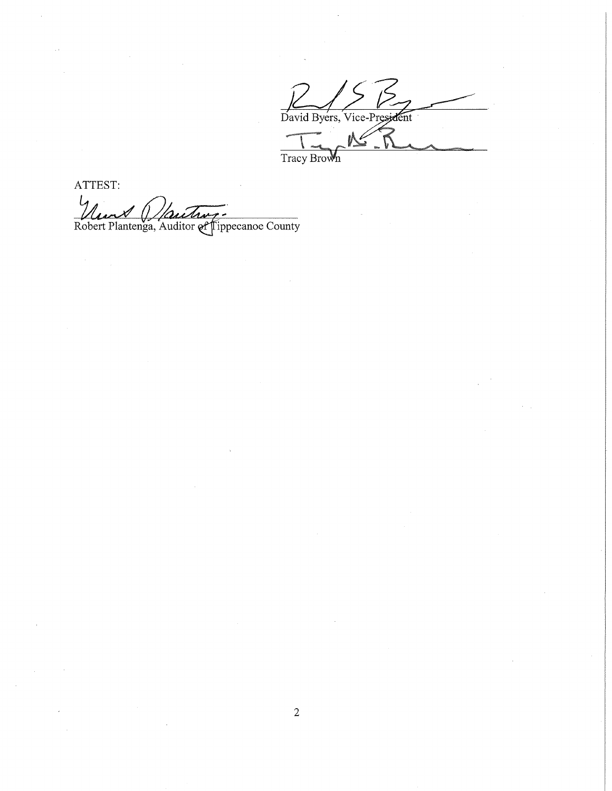David Byers, Vice-President

ATTEST:  $\iota$  $1<sub>44</sub>$ Nun (Mautin,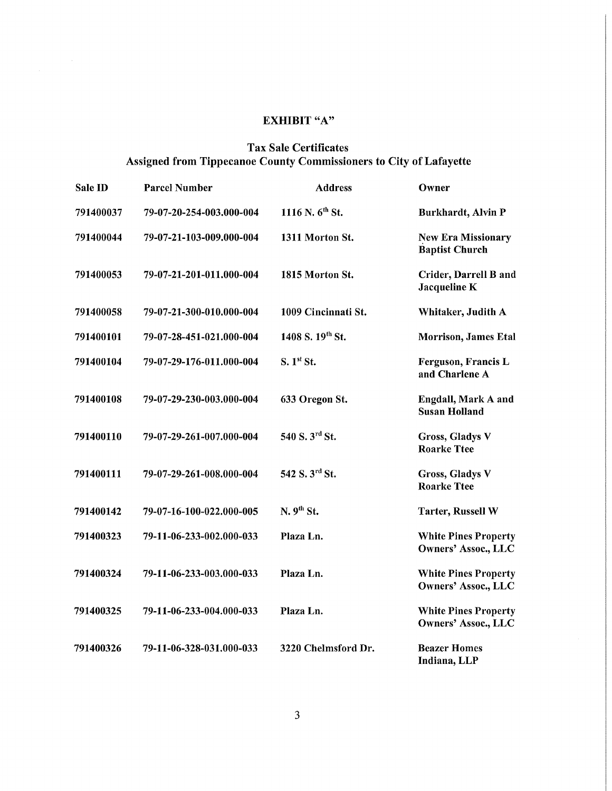## EXHIBIT "A"

## Tax Sale Certificates Assigned from Tippecanoe County Commissioners to City of Lafayette

| Sale ID   | <b>Parcel Number</b>     | <b>Address</b>              | Owner                                                     |
|-----------|--------------------------|-----------------------------|-----------------------------------------------------------|
| 791400037 | 79-07-20-254-003.000-004 | 1116 N. 6 <sup>th</sup> St. | Burkhardt, Alvin P                                        |
| 791400044 | 79-07-21-103-009.000-004 | 1311 Morton St.             | <b>New Era Missionary</b><br><b>Baptist Church</b>        |
| 791400053 | 79-07-21-201-011.000-004 | 1815 Morton St.             | Crider, Darrell B and<br>Jacqueline K                     |
| 791400058 | 79-07-21-300-010.000-004 | 1009 Cincinnati St.         | Whitaker, Judith A                                        |
| 791400101 | 79-07-28-451-021.000-004 | 1408 S. 19th St.            | Morrison, James Etal                                      |
| 791400104 | 79-07-29-176-011.000-004 | S. 1 <sup>st</sup> St.      | Ferguson, Francis L<br>and Charlene A                     |
| 791400108 | 79-07-29-230-003.000-004 | 633 Oregon St.              | Engdall, Mark A and<br><b>Susan Holland</b>               |
| 791400110 | 79-07-29-261-007.000-004 | 540 S. 3rd St.              | <b>Gross, Gladys V</b><br><b>Roarke Ttee</b>              |
| 791400111 | 79-07-29-261-008.000-004 | 542 S. 3rd St.              | <b>Gross, Gladys V</b><br><b>Roarke Ttee</b>              |
| 791400142 | 79-07-16-100-022.000-005 | N.9 <sup>th</sup> St.       | <b>Tarter, Russell W</b>                                  |
| 791400323 | 79-11-06-233-002.000-033 | Plaza Ln.                   | <b>White Pines Property</b><br><b>Owners' Assoc., LLC</b> |
| 791400324 | 79-11-06-233-003.000-033 | Plaza Ln.                   | <b>White Pines Property</b><br><b>Owners' Assoc., LLC</b> |
| 791400325 | 79-11-06-233-004.000-033 | Plaza Ln.                   | <b>White Pines Property</b><br><b>Owners' Assoc., LLC</b> |
| 791400326 | 79-11-06-328-031.000-033 | 3220 Chelmsford Dr.         | <b>Beazer Homes</b><br>Indiana, LLP                       |